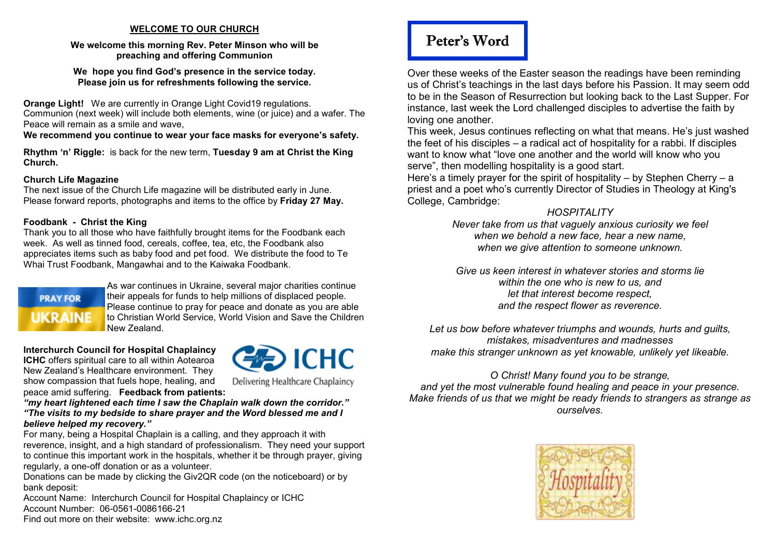#### **WELCOME TO OUR CHURCH**

#### **We welcome this morning Rev. Peter Minson who will be preaching and offering Communion**

**We hope you find God's presence in the service today. Please join us for refreshments following the service.** 

**Orange Light!** We are currently in Orange Light Covid19 regulations.

 Communion (next week) will include both elements, wine (or juice) and a wafer. The Peace will remain as a smile and wave,

**We recommend you continue to wear your face masks for everyone's safety.** 

**Rhythm 'n' Riggle:** is back for the new term, **Tuesday 9 am at Christ the King Church.** 

#### **Church Life Magazine**

 The next issue of the Church Life magazine will be distributed early in June. Please forward reports, photographs and items to the office by **Friday 27 May.** 

#### **Foodbank - Christ the King**

 Thank you to all those who have faithfully brought items for the Foodbank each week. As well as tinned food, cereals, coffee, tea, etc, the Foodbank also appreciates items such as baby food and pet food. We distribute the food to Te Whai Trust Foodbank, Mangawhai and to the Kaiwaka Foodbank.

# **PRAY FOR UKRAINE**

As war continues in Ukraine, several major charities continue their appeals for funds to help millions of displaced people. Please continue to pray for peace and donate as you are able to Christian World Service, World Vision and Save the Children New Zealand.

**Interchurch Council for Hospital Chaplaincy ICHC** offers spiritual care to all within Aotearoa New Zealand's Healthcare environment. They show compassion that fuels hope, healing, and peace amid suffering. **Feedback from patients:** 



Delivering Healthcare Chaplaincy

 *"my heart lightened each time I saw the Chaplain walk down the corridor." "The visits to my bedside to share prayer and the Word blessed me and I believe helped my recovery."* 

 For many, being a Hospital Chaplain is a calling, and they approach it with reverence, insight, and a high standard of professionalism. They need your support to continue this important work in the hospitals, whether it be through prayer, giving regularly, a one-off donation or as a volunteer.

 Donations can be made by clicking the Giv2QR code (on the noticeboard) or by bank deposit:

 Account Name: Interchurch Council for Hospital Chaplaincy or ICHC Account Number: 06-0561-0086166-21 Find out more on their website: www.ichc.org.nz

# Peter's Word

Over these weeks of the Easter season the readings have been reminding us of Christ's teachings in the last days before his Passion. It may seem odd to be in the Season of Resurrection but looking back to the Last Supper. For instance, last week the Lord challenged disciples to advertise the faith by loving one another.

 This week, Jesus continues reflecting on what that means. He's just washed the feet of his disciples – a radical act of hospitality for a rabbi. If disciples want to know what "love one another and the world will know who you serve", then modelling hospitality is a good start.

 Here's a timely prayer for the spirit of hospitality – by Stephen Cherry – a priest and a poet who's currently Director of Studies in Theology at King's College, Cambridge:

### *HOSPITALITY*

 *Never take from us that vaguely anxious curiosity we feel when we behold a new face, hear a new name, when we give attention to someone unknown.* 

*Give us keen interest in whatever stories and storms lie within the one who is new to us, and let that interest become respect, and the respect flower as reverence.* 

*Let us bow before whatever triumphs and wounds, hurts and guilts, mistakes, misadventures and madnesses make this stranger unknown as yet knowable, unlikely yet likeable.* 

#### *O Christ! Many found you to be strange, and yet the most vulnerable found healing and peace in your presence. Make friends of us that we might be ready friends to strangers as strange as ourselves.*